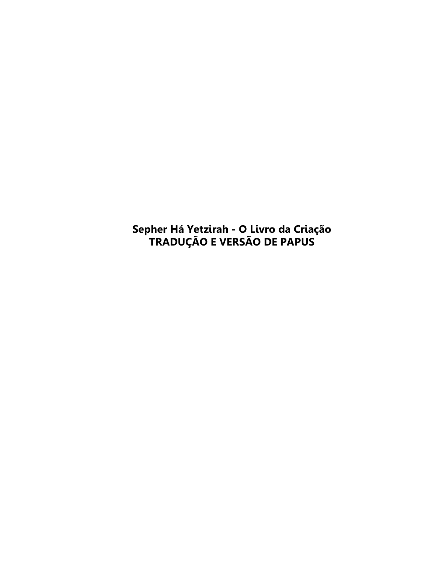Sepher Há Yetzirah - O Livro da Criação<br>TRADUÇÃO E VERSÃO DE PAPUS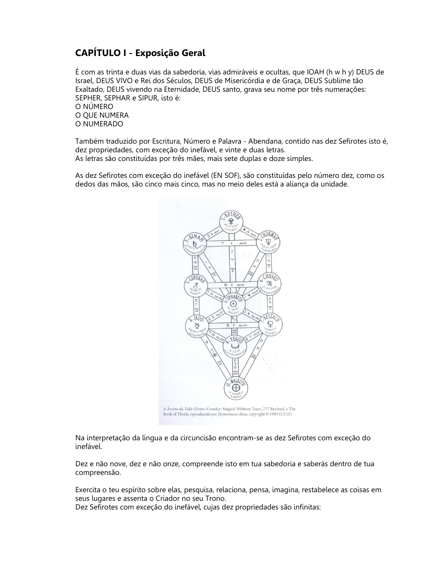## **CAPÍTULO I - Exposição Geral**

É com as trinta e duas vias da sabedoria, vias admiráveis e ocultas, que IOAH (h w h y) DEUS de Israel, DEUS VIVO e Rei dos Séculos, DEUS de Misericórdia e de Graça, DEUS Sublime tão Exaltado, DEUS vivendo na Eternidade, DEUS santo, grava seu nome por três numerações: SEPHER, SEPHAR e SIPUR, isto é: O NÚMERO O OUE NUMERA O NUMERADO

Também traduzido por Escritura, Número e Palavra - Abendana, contido nas dez Sefirotes isto é, dez propriedades, com exceção do inefável, e vinte e duas letras. As letras são constituídas por três mães, mais sete duplas e doze simples.

As dez Sefirotes com exceção do inefável (EN SOF), são constituídas pelo número dez, como os dedos das mãos, são cinco mais cinco, mas no meio deles está a aliança da unidade.



A Árvore da Vida (Fonte: Crowley: Magick Without Tears, 777 Revised, e The Book of Thoth; reproduzida por Hymenaeus Beta, copyright © 1993 O.T.O.)

Na interpretação da língua e da circuncisão encontram-se as dez Sefirotes com exceção do inefável.

Dez e não nove, dez e não onze, compreende isto em tua sabedoria e saberás dentro de tua compreensão.

Exercita o teu espírito sobre elas, pesquisa, relaciona, pensa, imagina, restabelece as coisas em seus lugares e assenta o Criador no seu Trono.

Dez Sefirotes com exceção do inefável, cujas dez propriedades são infinitas: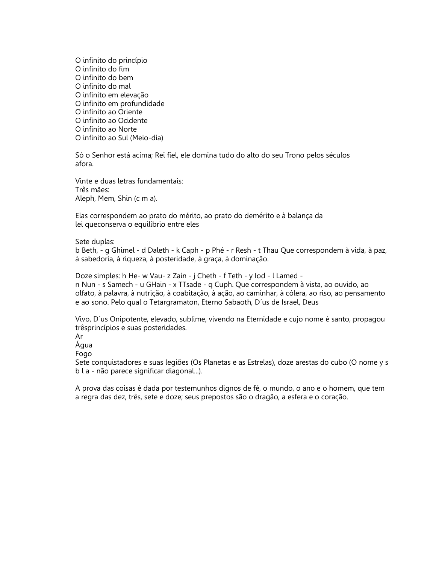O infinito do princípio O infinito do fim O infinito do bem O infinito do mal O infinito em elevação O infinito em profundidade O infinito ao Oriente O infinito ao Ocidente O infinito ao Norte O infinito ao Sul (Meio-dia)

Só o Senhor está acima; Rei fiel, ele domina tudo do alto do seu Trono pelos séculos afora.

Vinte e duas letras fundamentais: Três mães: Aleph, Mem, Shin (c m a).

Elas correspondem ao prato do mérito, ao prato do demérito e à balança da lei queconserva o equilíbrio entre eles

Sete duplas:

b Beth, - g Ghimel - d Daleth - k Caph - p Phé - r Resh - t Thau Que correspondem à vida, à paz, à sabedoria, à riqueza, à posteridade, à graça, à dominação.

Doze simples: h He- w Vau- z Zain - j Cheth - f Teth - y lod - l Lamed n Nun - s Samech - u GHain - x TTsade - q Cuph. Que correspondem à vista, ao ouvido, ao olfato, à palavra, à nutrição, à coabitação, à ação, ao caminhar, à cólera, ao riso, ao pensamento e ao sono. Pelo qual o Tetargramaton, Eterno Sabaoth, D'us de Israel, Deus

Vivo, D'us Onipotente, elevado, sublime, vivendo na Eternidade e cujo nome é santo, propagou trêsprincípios e suas posteridades.

Ar

Água

Fogo

Sete conquistadores e suas legiões (Os Planetas e as Estrelas), doze arestas do cubo (O nome y s b l a - não parece significar diagonal...).

A prova das coisas é dada por testemunhos dignos de fé, o mundo, o ano e o homem, que tem a regra das dez, três, sete e doze; seus prepostos são o dragão, a esfera e o coração.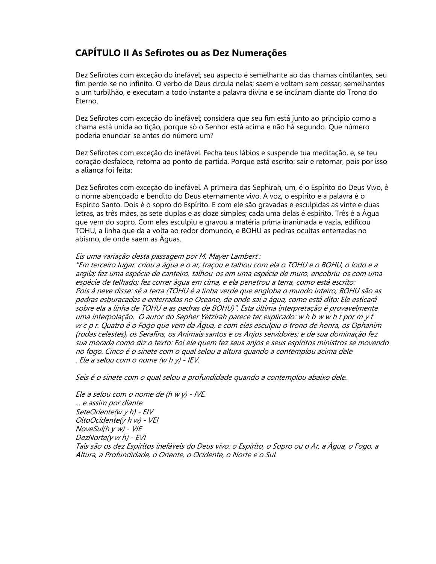#### **CAPÍTULO II As Sefirotes ou as Dez Numerações**

Dez Sefirotes com exceção do inefável; seu aspecto é semelhante ao das chamas cintilantes, seu fim perde-se no infinito. O verbo de Deus circula nelas; saem e voltam sem cessar, semelhantes a um turbilhão, e executam a todo instante a palavra divina e se inclinam diante do Trono do Eterno.

Dez Sefirotes com exceção do inefável; considera que seu fim está junto ao princípio como a chama está unida ao tição, porque só o Senhor está acima e não há segundo. Que número poderia enunciar-se antes do número um?

Dez Sefirotes com exceção do inefável. Fecha teus lábios e suspende tua meditação, e, se teu coração desfalece, retorna ao ponto de partida. Porque está escrito: sair e retornar, pois por isso a alianca foi feita:

Dez Sefirotes com exceção do inefável. A primeira das Sephirah, um, é o Espírito do Deus Vivo, é o nome abençoado e bendito do Deus eternamente vivo. A voz, o espírito e a palavra é o Espírito Santo. Dois é o sopro do Espírito. E com ele são gravadas e esculpidas as vinte e duas letras, as três mães, as sete duplas e as doze simples; cada uma delas é espírito. Três é a Água que vem do sopro. Com eles esculpiu e gravou a matéria prima inanimada e vazia, edificou TOHU, a linha que da a volta ao redor domundo, e BOHU as pedras ocultas enterradas no abismo, de onde saem as Águas.

#### Eis uma variação desta passagem por M. Mayer Lambert :

"Em terceiro lugar: criou a água e o ar; traçou e talhou com ela o TOHU e o BOHU, o lodo e a argila; fez uma espécie de canteiro, talhou-os em uma espécie de muro, encobriu-os com uma espécie de telhado; fez correr água em cima, e ela penetrou a terra, como está escrito: Pois à neve disse: sê a terra (TOHU é a linha verde que engloba o mundo inteiro; BOHU são as pedras esburacadas e enterradas no Oceano, de onde sai a áqua, como está dito: Ele esticará sobre ela a linha de TOHU e as pedras de BOHU)". Esta última interpretação é provavelmente uma interpolação. O autor do Sepher Yetzirah parece ter explicado: w h b w w h t por m y f w c p r. Quatro é o Fogo que vem da Água, e com eles esculpiu o trono de honra, os Ophanim (rodas celestes), os Serafins, os Animais santos e os Anjos servidores; e de sua dominação fez sua morada como diz o texto: Foi ele quem fez seus anjos e seus espíritos ministros se movendo no fogo. Cinco é o sinete com o qual selou a altura quando a contemplou acima dele . Ele a selou com o nome  $(w h y)$  - IEV.

Seis é o sinete com o qual selou a profundidade quando a contemplou abaixo dele.

Ele a selou com o nome de (h w y) - IVE. ... e assim por diante: SeteOriente(w y h) - EIV OitoOcidente(y h w) - VEI NoveSul(h  $y$  w) -  $V$ IE  $DezNote(y w h) - EVI$ Tais são os dez Espíritos inefáveis do Deus vivo: o Espírito, o Sopro ou o Ar, a Água, o Fogo, a Altura, a Profundidade, o Oriente, o Ocidente, o Norte e o Sul.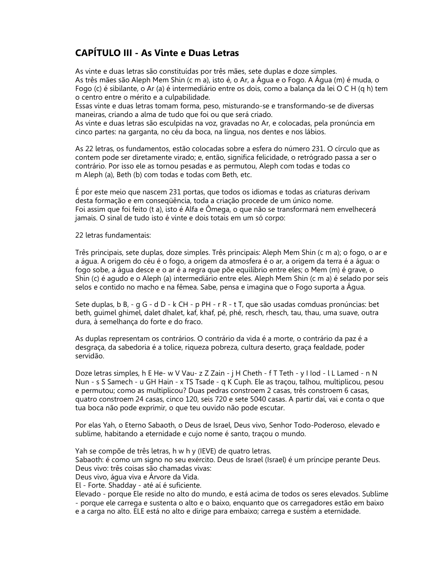### **CAPÍTULO III - As Vinte e Duas Letras**

As vinte e duas letras são constituídas por três mães, sete duplas e doze simples. As três mães são Aleph Mem Shin (c m a), isto é, o Ar, a Água e o Fogo. A Água (m) é muda, o Fogo (c) é sibilante, o Ar (a) é intermediário entre os dois, como a balança da lei O C H (q h) tem o centro entre o mérito e a culpabilidade.

Essas vinte e duas letras tomam forma, peso, misturando-se e transformando-se de diversas maneiras, criando a alma de tudo que foi ou que será criado.

As vinte e duas letras são esculpidas na voz, gravadas no Ar, e colocadas, pela pronúncia em cinco partes: na garganta, no céu da boca, na língua, nos dentes e nos lábios.

As 22 letras, os fundamentos, estão colocadas sobre a esfera do número 231. O círculo que as contem pode ser diretamente virado: e, então, significa felicidade, o retrógrado passa a ser o contrário. Por isso ele as tornou pesadas e as permutou, Aleph com todas e todas co m Aleph (a), Beth (b) com todas e todas com Beth, etc.

É por este meio que nascem 231 portas, que todos os idiomas e todas as criaturas derivam desta formação e em consegüência, toda a criação procede de um único nome. Foi assim que foi feito (t a), isto é Alfa e Ômega, o que não se transformará nem envelhecerá jamais. O sinal de tudo isto é vinte e dois totais em um só corpo:

22 letras fundamentais:

Três principais, sete duplas, doze simples. Três principais: Aleph Mem Shin (c m a); o fogo, o ar e a água. A origem do céu é o fogo, a origem da atmosfera é o ar, a origem da terra é a água: o fogo sobe, a água desce e o ar é a regra que põe equilíbrio entre eles; o Mem (m) é grave, o Shin (c) é agudo e o Aleph (a) intermediário entre eles. Aleph Mem Shin (c m a) é selado por seis selos e contido no macho e na fêmea. Sabe, pensa e imagina que o Fogo suporta a Água.

Sete duplas, b B, - q G - d D - k CH - p PH - r R - t T, que são usadas comduas pronúncias: bet beth, guimel ghimel, dalet dhalet, kaf, khaf, pé, phé, resch, rhesch, tau, thau, uma suave, outra dura, à semelhança do forte e do fraco.

As duplas representam os contrários. O contrário da vida é a morte, o contrário da paz é a desgraça, da sabedoria é a tolice, rigueza pobreza, cultura deserto, graça fealdade, poder servidão.

Doze letras simples, h E He- w V Vau- z Z Zain - j H Cheth - f T Teth - y I lod - l L Lamed - n N Nun - s S Samech - u GH Hain - x TS Tsade - q K Cuph. Ele as traçou, talhou, multiplicou, pesou e permutou; como as multiplicou? Duas pedras constroem 2 casas, três constroem 6 casas, quatro constroem 24 casas, cinco 120, seis 720 e sete 5040 casas. A partir daí, vai e conta o que tua boca não pode exprimir, o que teu ouvido não pode escutar.

Por elas Yah, o Eterno Sabaoth, o Deus de Israel, Deus vivo, Senhor Todo-Poderoso, elevado e sublime, habitando a eternidade e cujo nome é santo, traçou o mundo.

Yah se compõe de três letras, h w h y (IEVE) de quatro letras.

Sabaoth: é como um signo no seu exército. Deus de Israel (Israel) é um príncipe perante Deus. Deus vivo: três coisas são chamadas vivas:

Deus vivo, água viva e Árvore da Vida.

El - Forte. Shadday - até aí é suficiente.

Elevado - porque Ele reside no alto do mundo, e está acima de todos os seres elevados. Sublime - porque ele carrega e sustenta o alto e o baixo, enguanto que os carregadores estão em baixo e a carga no alto. ELE está no alto e dirige para embaixo; carrega e sustém a eternidade.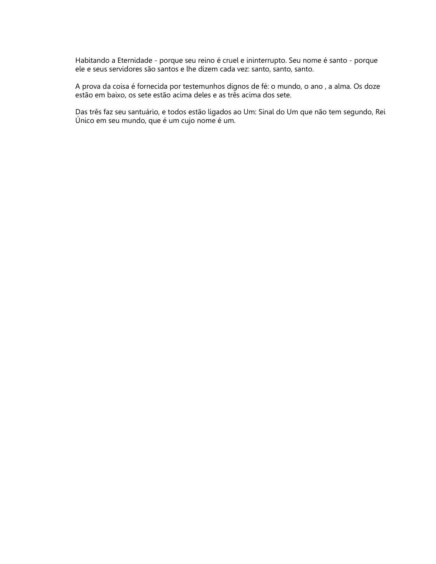Habitando a Eternidade - porque seu reino é cruel e ininterrupto. Seu nome é santo - porque ele e seus servidores são santos e lhe dizem cada vez: santo, santo, santo.

A prova da coisa é fornecida por testemunhos dignos de fé: o mundo, o ano, a alma. Os doze estão em baixo, os sete estão acima deles e as três acima dos sete.

Das três faz seu santuário, e todos estão ligados ao Um: Sinal do Um que não tem segundo, Rei Único em seu mundo, que é um cujo nome é um.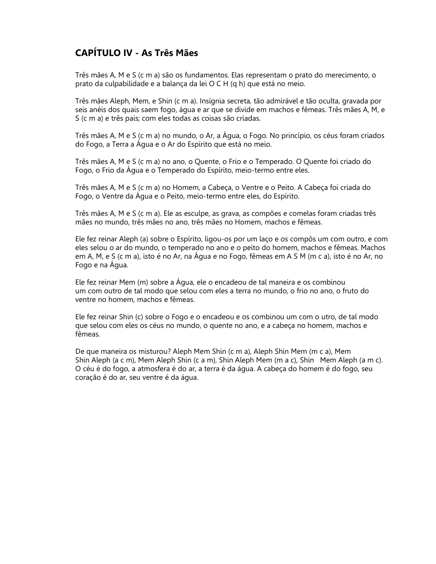### **CAPÍTULO IV - As Três Mães**

Três mães A, M e S (c m a) são os fundamentos. Elas representam o prato do merecimento, o prato da culpabilidade e a balança da lei O C H (q h) que está no meio.

Três mães Aleph, Mem, e Shin (c m a). Insígnia secreta, tão admirável e tão oculta, gravada por seis anéis dos quais saem fogo, água e ar que se divide em machos e fêmeas. Três mães A, M, e S (c m a) e três pais; com eles todas as coisas são criadas.

Três mães A, M e S (c m a) no mundo, o Ar, a Água, o Fogo. No princípio, os céus foram criados do Fogo, a Terra a Água e o Ar do Espírito que está no meio.

Três mães A. M e S (c m a) no ano, o Quente, o Frio e o Temperado. O Quente foi criado do Fogo, o Frio da Água e o Temperado do Espírito, meio-termo entre eles.

Três mães A, M e S (c m a) no Homem, a Cabeça, o Ventre e o Peito. A Cabeça foi criada do Fogo, o Ventre da Água e o Peito, meio-termo entre eles, do Espírito.

Três mães A, M e S (c m a). Ele as esculpe, as grava, as compões e comelas foram criadas três mães no mundo, três mães no ano, três mães no Homem, machos e fêmeas.

Ele fez reinar Aleph (a) sobre o Espírito, ligou-os por um laço e os compôs um com outro, e com eles selou o ar do mundo, o temperado no ano e o peito do homem, machos e fêmeas. Machos em A, M, e S (c m a), isto é no Ar, na Água e no Fogo, fêmeas em A S M (m c a), isto é no Ar, no Fogo e na Água.

Ele fez reinar Mem (m) sobre a Água, ele o encadeou de tal maneira e os combinou um com outro de tal modo que selou com eles a terra no mundo, o frio no ano, o fruto do ventre no homem, machos e fêmeas.

Ele fez reinar Shin (c) sobre o Fogo e o encadeou e os combinou um com o utro, de tal modo que selou com eles os céus no mundo, o quente no ano, e a cabeça no homem, machos e fêmeas.

De que maneira os misturou? Aleph Mem Shin (c m a), Aleph Shin Mem (m c a), Mem Shin Aleph (a c m), Mem Aleph Shin (c a m), Shin Aleph Mem (m a c), Shin Mem Aleph (a m c). O céu é do fogo, a atmosfera é do ar, a terra é da água. A cabeça do homem é do fogo, seu coração é do ar, seu ventre é da áqua.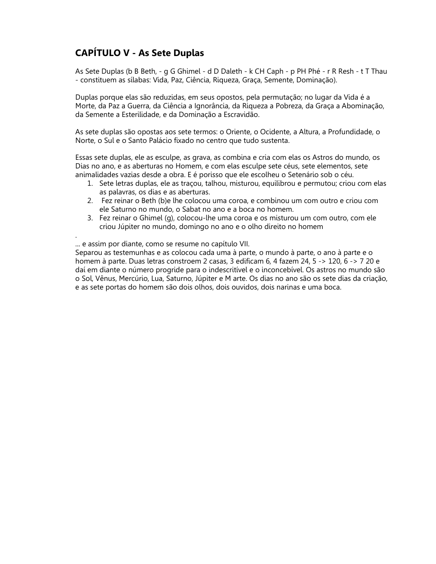# **CAPÍTULO V - As Sete Duplas**

As Sete Duplas (b B Beth, - g G Ghimel - d D Daleth - k CH Caph - p PH Phé - r R Resh - t T Thau - constituem as sílabas: Vida, Paz, Ciência, Rigueza, Graca, Semente, Dominação).

Duplas porque elas são reduzidas, em seus opostos, pela permutação; no lugar da Vida é a Morte, da Paz a Guerra, da Ciência a Ignorância, da Riqueza a Pobreza, da Graça a Abominação, da Semente a Esterilidade, e da Dominação a Escravidão.

As sete duplas são opostas aos sete termos: o Oriente, o Ocidente, a Altura, a Profundidade, o Norte, o Sul e o Santo Palácio fixado no centro que tudo sustenta.

Essas sete duplas, ele as esculpe, as grava, as combina e cria com elas os Astros do mundo, os Dias no ano, e as aberturas no Homem, e com elas esculpe sete céus, sete elementos, sete animalidades vazias desde a obra. E é porisso que ele escolheu o Setenário sob o céu.

- 1. Sete letras duplas, ele as traçou, talhou, misturou, equilibrou e permutou; criou com elas as palavras, os dias e as aberturas.
- 2. Fez reinar o Beth (b)e lhe colocou uma coroa, e combinou um com outro e criou com ele Saturno no mundo, o Sabat no ano e a boca no homem.
- 3. Fez reinar o Ghimel (g), colocou-lhe uma coroa e os misturou um com outro, com ele criou Júpiter no mundo, domingo no ano e o olho direito no homem

... e assim por diante, como se resume no capítulo VII.

Separou as testemunhas e as colocou cada uma à parte, o mundo à parte, o ano à parte e o homem à parte. Duas letras constroem 2 casas, 3 edificam 6, 4 fazem 24, 5 -> 120, 6 -> 7 20 e daí em diante o número progride para o indescritível e o inconcebível. Os astros no mundo são o Sol, Vênus, Mercúrio, Lua, Saturno, Júpiter e M arte. Os dias no ano são os sete dias da criação, e as sete portas do homem são dois olhos, dois ouvidos, dois narinas e uma boca.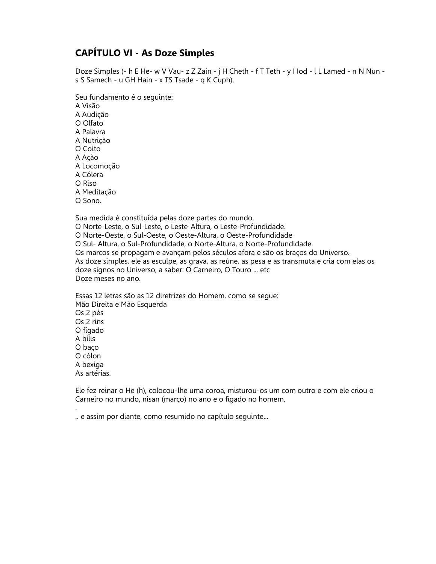### **CAPÍTULO VI - As Doze Simples**

Doze Simples (- h E He- w V Vau- z Z Zain - j H Cheth - f T Teth - y I lod - l L Lamed - n N Nun s S Samech - u GH Hain - x TS Tsade - q K Cuph).

Seu fundamento é o seguinte: A Visão A Audição O Olfato A Palavra A Nutrição O Coito A Acão A Locomoção A Cólera  $\Omega$  Riso A Meditação O Sono.

Sua medida é constituída pelas doze partes do mundo. O Norte-Leste, o Sul-Leste, o Leste-Altura, o Leste-Profundidade. O Norte-Oeste, o Sul-Oeste, o Oeste-Altura, o Oeste-Profundidade O Sul- Altura, o Sul-Profundidade, o Norte-Altura, o Norte-Profundidade. Os marcos se propagam e avançam pelos séculos afora e são os braços do Universo. As doze simples, ele as esculpe, as grava, as reúne, as pesa e as transmuta e cria com elas os doze signos no Universo, a saber: O Carneiro, O Touro ... etc Doze meses no ano.

Essas 12 letras são as 12 diretrizes do Homem, como se seque: Mão Direita e Mão Esquerda Os 2 pés Os 2 rins O fígado A bílis O baco O cólon A bexiga As artérias.

Ele fez reinar o He (h), colocou-lhe uma coroa, misturou-os um com outro e com ele criou o Carneiro no mundo, nisan (março) no ano e o fígado no homem.

.. e assim por diante, como resumido no capítulo sequinte...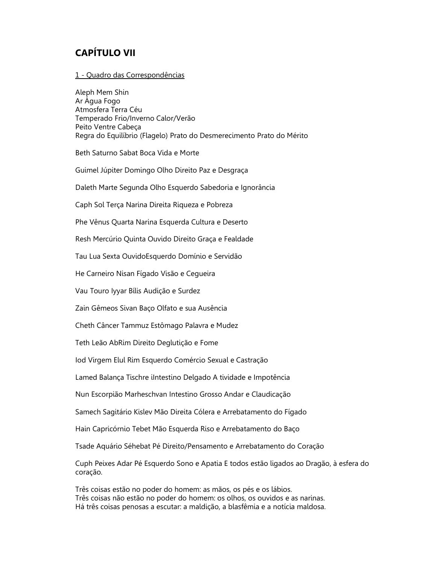# **CAPÍTULO VII**

#### 1 - Quadro das Correspondências

Aleph Mem Shin Ar Água Fogo Atmosfera Terra Céu Temperado Frio/Inverno Calor/Verão Peito Ventre Cabeca Regra do Equilíbrio (Flagelo) Prato do Desmerecimento Prato do Mérito Beth Saturno Sabat Boca Vida e Morte Guimel Júpiter Domingo Olho Direito Paz e Desgraça Daleth Marte Segunda Olho Esquerdo Sabedoria e Ignorância Caph Sol Terça Narina Direita Riqueza e Pobreza Phe Vênus Quarta Narina Esquerda Cultura e Deserto Resh Mercúrio Quinta Ouvido Direito Graça e Fealdade Tau Lua Sexta OuvidoEsquerdo Domínio e Servidão He Carneiro Nisan Fígado Visão e Cequeira Vau Touro Iyyar Bílis Audição e Surdez Zain Gêmeos Sivan Baço Olfato e sua Ausência Cheth Câncer Tammuz Estômago Palavra e Mudez Teth Leão AbRim Direito Deglutição e Fome lod Virgem Elul Rim Esquerdo Comércio Sexual e Castração Lamed Balança Tischre iIntestino Delgado A tividade e Impotência Nun Escorpião Marheschvan Intestino Grosso Andar e Claudicação Samech Sagitário Kislev Mão Direita Cólera e Arrebatamento do Fígado Hain Capricórnio Tebet Mão Esquerda Riso e Arrebatamento do Baço Tsade Aquário Séhebat Pé Direito/Pensamento e Arrebatamento do Coração Cuph Peixes Adar Pé Esquerdo Sono e Apatia E todos estão ligados ao Dragão, à esfera do coração.

Três coisas estão no poder do homem: as mãos, os pés e os lábios. Três coisas não estão no poder do homem: os olhos, os ouvidos e as narinas. Há três coisas penosas a escutar: a maldição, a blasfêmia e a notícia maldosa.